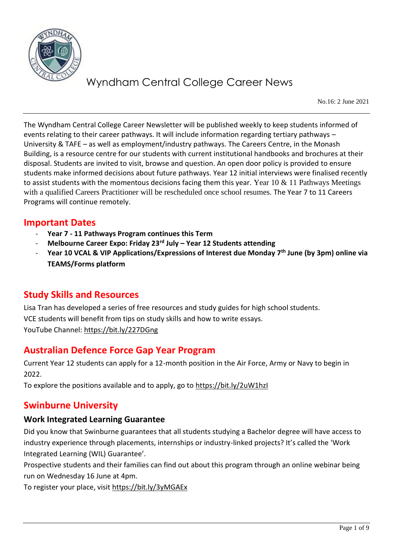

No.16: 2 June 2021

The Wyndham Central College Career Newsletter will be published weekly to keep students informed of events relating to their career pathways. It will include information regarding tertiary pathways – University & TAFE – as well as employment/industry pathways. The Careers Centre, in the Monash Building, is a resource centre for our students with current institutional handbooks and brochures at their disposal. Students are invited to visit, browse and question. An open door policy is provided to ensure students make informed decisions about future pathways. Year 12 initial interviews were finalised recently to assist students with the momentous decisions facing them this year. Year 10  $\&$  11 Pathways Meetings with a qualified Careers Practitioner will be rescheduled once school resumes. The Year 7 to 11 Careers Programs will continue remotely.

# **Important Dates**

- **Year 7 - 11 Pathways Program continues this Term**
- **Melbourne Career Expo: Friday 23rd July – Year 12 Students attending**
- **Year 10 VCAL & VIP Applications/Expressions of Interest due Monday 7th June (by 3pm) online via TEAMS/Forms platform**

# **Study Skills and Resources**

Lisa Tran has developed a series of free resources and study guides for high school students. VCE students will benefit from tips on study skills and how to write essays. YouTube Channel:<https://bit.ly/227DGng>

# **Australian Defence Force Gap Year Program**

Current Year 12 students can apply for a 12-month position in the Air Force, Army or Navy to begin in 2022.

To explore the positions available and to apply, go to<https://bit.ly/2uW1hzI>

# **Swinburne University**

## **Work Integrated Learning Guarantee**

Did you know that Swinburne guarantees that all students studying a Bachelor degree will have access to industry experience through placements, internships or industry-linked projects? It's called the 'Work Integrated Learning (WIL) Guarantee'.

Prospective students and their families can find out about this program through an online webinar being run on Wednesday 16 June at 4pm.

To register your place, visit<https://bit.ly/3yMGAEx>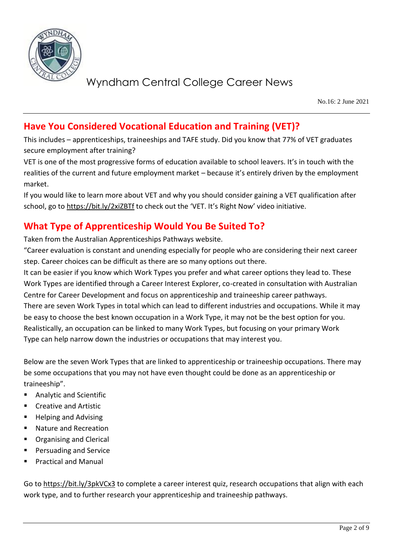

No.16: 2 June 2021

# **Have You Considered Vocational Education and Training (VET)?**

This includes – apprenticeships, traineeships and TAFE study. Did you know that 77% of VET graduates secure employment after training?

VET is one of the most progressive forms of education available to school leavers. It's in touch with the realities of the current and future employment market – because it's entirely driven by the employment market.

If you would like to learn more about VET and why you should consider gaining a VET qualification after school, go to<https://bit.ly/2xiZBTf> to check out the 'VET. It's Right Now' video initiative.

# **What Type of Apprenticeship Would You Be Suited To?**

Taken from the Australian Apprenticeships Pathways website.

"Career evaluation is constant and unending especially for people who are considering their next career step. Career choices can be difficult as there are so many options out there.

It can be easier if you know which Work Types you prefer and what career options they lead to. These Work Types are identified through a Career Interest Explorer, co-created in consultation with Australian Centre for Career Development and focus on apprenticeship and traineeship career pathways. There are seven Work Types in total which can lead to different industries and occupations. While it may be easy to choose the best known occupation in a Work Type, it may not be the best option for you. Realistically, an occupation can be linked to many Work Types, but focusing on your primary Work Type can help narrow down the industries or occupations that may interest you.

Below are the seven Work Types that are linked to apprenticeship or traineeship occupations. There may be some occupations that you may not have even thought could be done as an apprenticeship or traineeship".

- Analytic and Scientific
- Creative and Artistic
- **Helping and Advising**
- Nature and Recreation
- **Organising and Clerical**
- Persuading and Service
- **Practical and Manual**

Go t[o https://bit.ly/3pkVCx3](https://bit.ly/3pkVCx3) to complete a career interest quiz, research occupations that align with each work type, and to further research your apprenticeship and traineeship pathways.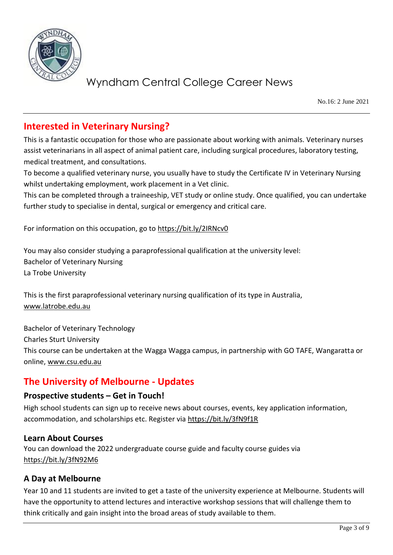

No.16: 2 June 2021

# **Interested in Veterinary Nursing?**

This is a fantastic occupation for those who are passionate about working with animals. Veterinary nurses assist veterinarians in all aspect of animal patient care, including surgical procedures, laboratory testing, medical treatment, and consultations.

To become a qualified veterinary nurse, you usually have to study the Certificate IV in Veterinary Nursing whilst undertaking employment, work placement in a Vet clinic.

This can be completed through a traineeship, VET study or online study. Once qualified, you can undertake further study to specialise in dental, surgical or emergency and critical care.

For information on this occupation, go to<https://bit.ly/2IRNcv0>

You may also consider studying a paraprofessional qualification at the university level: Bachelor of Veterinary Nursing La Trobe University

This is the first paraprofessional veterinary nursing qualification of its type in Australia, [www.latrobe.edu.au](http://www.latrobe.edu.au/)

Bachelor of Veterinary Technology Charles Sturt University This course can be undertaken at the Wagga Wagga campus, in partnership with GO TAFE, Wangaratta or online, [www.csu.edu.au](http://www.csu.edu.au/)

# **The University of Melbourne - Updates**

## **Prospective students – Get in Touch!**

High school students can sign up to receive news about courses, events, key application information, accommodation, and scholarships etc. Register via<https://bit.ly/3fN9f1R>

### **Learn About Courses**

You can download the 2022 undergraduate course guide and faculty course guides via <https://bit.ly/3fN92M6>

## **A Day at Melbourne**

Year 10 and 11 students are invited to get a taste of the university experience at Melbourne. Students will have the opportunity to attend lectures and interactive workshop sessions that will challenge them to think critically and gain insight into the broad areas of study available to them.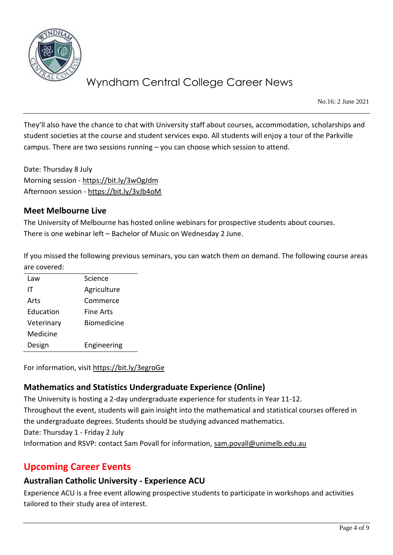

No.16: 2 June 2021

They'll also have the chance to chat with University staff about courses, accommodation, scholarships and student societies at the course and student services expo. All students will enjoy a tour of the Parkville campus. There are two sessions running – you can choose which session to attend.

Date: Thursday 8 July Morning session - <https://bit.ly/3wOgJdm> Afternoon session - <https://bit.ly/3vJb4oM>

### **Meet Melbourne Live**

The University of Melbourne has hosted online webinars for prospective students about courses. There is one webinar left – Bachelor of Music on Wednesday 2 June.

If you missed the following previous seminars, you can watch them on demand. The following course areas are covered:

| Law        | Science            |
|------------|--------------------|
| ΙT         | Agriculture        |
| Arts       | Commerce           |
| Education  | Fine Arts          |
| Veterinary | <b>Biomedicine</b> |
| Medicine   |                    |
| Design     | Engineering        |

For information, visit<https://bit.ly/3egroGe>

# **Mathematics and Statistics Undergraduate Experience (Online)**

The University is hosting a 2-day undergraduate experience for students in Year 11-12. Throughout the event, students will gain insight into the mathematical and statistical courses offered in the undergraduate degrees. Students should be studying advanced mathematics. Date: Thursday 1 - Friday 2 July Information and RSVP: contact Sam Povall for information, [sam.povall@unimelb.edu.au](mailto:sam.povall@unimelb.edu.au)

# **Upcoming Career Events**

# **Australian Catholic University - Experience ACU**

Experience ACU is a free event allowing prospective students to participate in workshops and activities tailored to their study area of interest.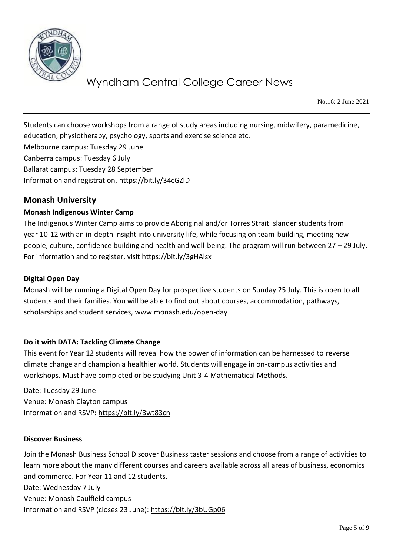

No.16: 2 June 2021

Students can choose workshops from a range of study areas including nursing, midwifery, paramedicine, education, physiotherapy, psychology, sports and exercise science etc.

Melbourne campus: Tuesday 29 June Canberra campus: Tuesday 6 July Ballarat campus: Tuesday 28 September Information and registration,<https://bit.ly/34cGZlD>

## **Monash University**

### **Monash Indigenous Winter Camp**

The Indigenous Winter Camp aims to provide Aboriginal and/or Torres Strait Islander students from year 10-12 with an in-depth insight into university life, while focusing on team-building, meeting new people, culture, confidence building and health and well-being. The program will run between 27 – 29 July. For information and to register, visit<https://bit.ly/3gHAlsx>

#### **Digital Open Day**

Monash will be running a Digital Open Day for prospective students on Sunday 25 July. This is open to all students and their families. You will be able to find out about courses, accommodation, pathways, scholarships and student services, [www.monash.edu/open-day](http://www.monash.edu/open-day)

#### **Do it with DATA: Tackling Climate Change**

This event for Year 12 students will reveal how the power of information can be harnessed to reverse climate change and champion a healthier world. Students will engage in on-campus activities and workshops. Must have completed or be studying Unit 3-4 Mathematical Methods.

Date: Tuesday 29 June Venue: Monash Clayton campus Information and RSVP:<https://bit.ly/3wt83cn>

#### **Discover Business**

Join the Monash Business School Discover Business taster sessions and choose from a range of activities to learn more about the many different courses and careers available across all areas of business, economics and commerce. For Year 11 and 12 students. Date: Wednesday 7 July Venue: Monash Caulfield campus Information and RSVP (closes 23 June):<https://bit.ly/3bUGp06>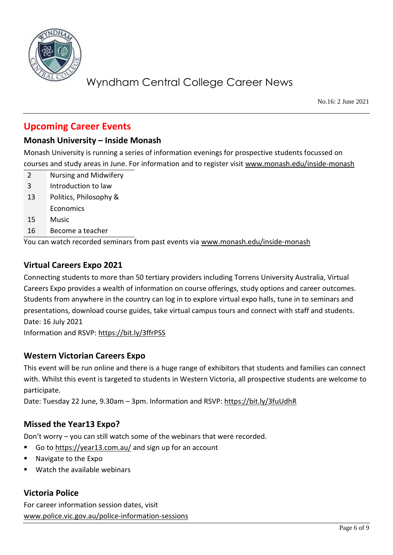

No.16: 2 June 2021

# **Upcoming Career Events**

## **Monash University – Inside Monash**

Monash University is running a series of information evenings for prospective students focussed on courses and study areas in June. For information and to register visit [www.monash.edu/inside-monash](http://www.monash.edu/inside-monash)

- 2 Nursing and Midwifery
- 3 Introduction to law
- 13 Politics, Philosophy &
- **Economics**
- 15 Music
- 16 Become a teacher

You can watch recorded seminars from past events via [www.monash.edu/inside-monash](http://www.monash.edu/inside-monash)

### **Virtual Careers Expo 2021**

Connecting students to more than 50 tertiary providers including Torrens University Australia, Virtual Careers Expo provides a wealth of information on course offerings, study options and career outcomes. Students from anywhere in the country can log in to explore virtual expo halls, tune in to seminars and presentations, download course guides, take virtual campus tours and connect with staff and students. Date: 16 July 2021

Information and RSVP:<https://bit.ly/3ffrPSS>

### **Western Victorian Careers Expo**

This event will be run online and there is a huge range of exhibitors that students and families can connect with. Whilst this event is targeted to students in Western Victoria, all prospective students are welcome to participate.

Date: Tuesday 22 June, 9.30am – 3pm. Information and RSVP:<https://bit.ly/3fuUdhR>

## **Missed the Year13 Expo?**

Don't worry – you can still watch some of the webinars that were recorded.

- Go t[o https://year13.com.au/](https://year13.com.au/) and sign up for an account
- Navigate to the Expo
- Watch the available webinars

## **Victoria Police**

For career information session dates, visit [www.police.vic.gov.au/police-information-sessions](http://www.police.vic.gov.au/police-information-sessions)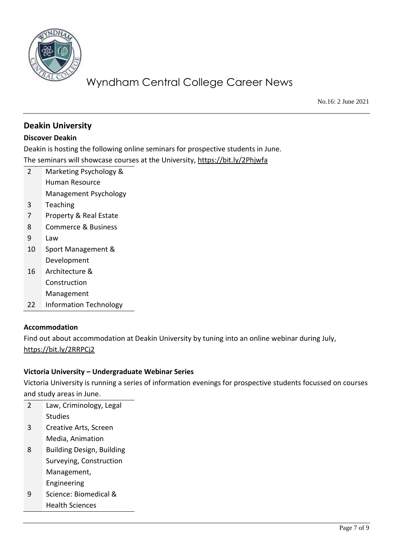

No.16: 2 June 2021

## **Deakin University**

### **Discover Deakin**

Deakin is hosting the following online seminars for prospective students in June.

The seminars will showcase courses at the University,<https://bit.ly/2Phjwfa>

- 2 Marketing Psychology & Human Resource Management Psychology 3 Teaching 7 Property & Real Estate
- 8 Commerce & Business
- 9 Law
- 10 Sport Management & Development
- 16 Architecture & Construction Management
- 22 Information Technology

### **Accommodation**

Find out about accommodation at Deakin University by tuning into an online webinar during July, <https://bit.ly/2RRPCj2>

### **Victoria University – Undergraduate Webinar Series**

Victoria University is running a series of information evenings for prospective students focussed on courses and study areas in June.

| 2 | Law, Criminology, Legal          |  |
|---|----------------------------------|--|
|   | Studies                          |  |
| 3 | Creative Arts, Screen            |  |
|   | Media, Animation                 |  |
| 8 | <b>Building Design, Building</b> |  |
|   | Surveying, Construction          |  |
|   | Management,                      |  |
|   | Engineering                      |  |
| g | Science: Biomedical &            |  |
|   | <b>Health Sciences</b>           |  |
|   |                                  |  |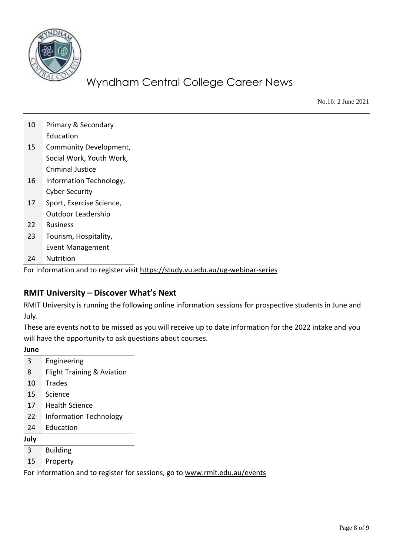

No.16: 2 June 2021

| 10 | Primary & Secondary       |
|----|---------------------------|
|    | Education                 |
| 15 | Community Development,    |
|    | Social Work, Youth Work,  |
|    | Criminal Justice          |
| 16 | Information Technology,   |
|    | <b>Cyber Security</b>     |
| 17 | Sport, Exercise Science,  |
|    | <b>Outdoor Leadership</b> |
| 22 | <b>Business</b>           |
| 23 | Tourism, Hospitality,     |
|    | Event Management          |
| 24 | <b>Nutrition</b>          |
|    |                           |

For information and to register visit<https://study.vu.edu.au/ug-webinar-series>

## **RMIT University – Discover What's Next**

RMIT University is running the following online information sessions for prospective students in June and July.

These are events not to be missed as you will receive up to date information for the 2022 intake and you will have the opportunity to ask questions about courses.

#### **June**

| 3  | Engineering                   |
|----|-------------------------------|
| 8  | Flight Training & Aviation    |
| 10 | <b>Trades</b>                 |
| 15 | Science                       |
| 17 | <b>Health Science</b>         |
| 22 | <b>Information Technology</b> |
| 24 | Education                     |
|    |                               |

**July**

3 Building

15 Property

For information and to register for sessions, go to [www.rmit.edu.au/events](http://www.rmit.edu.au/events)